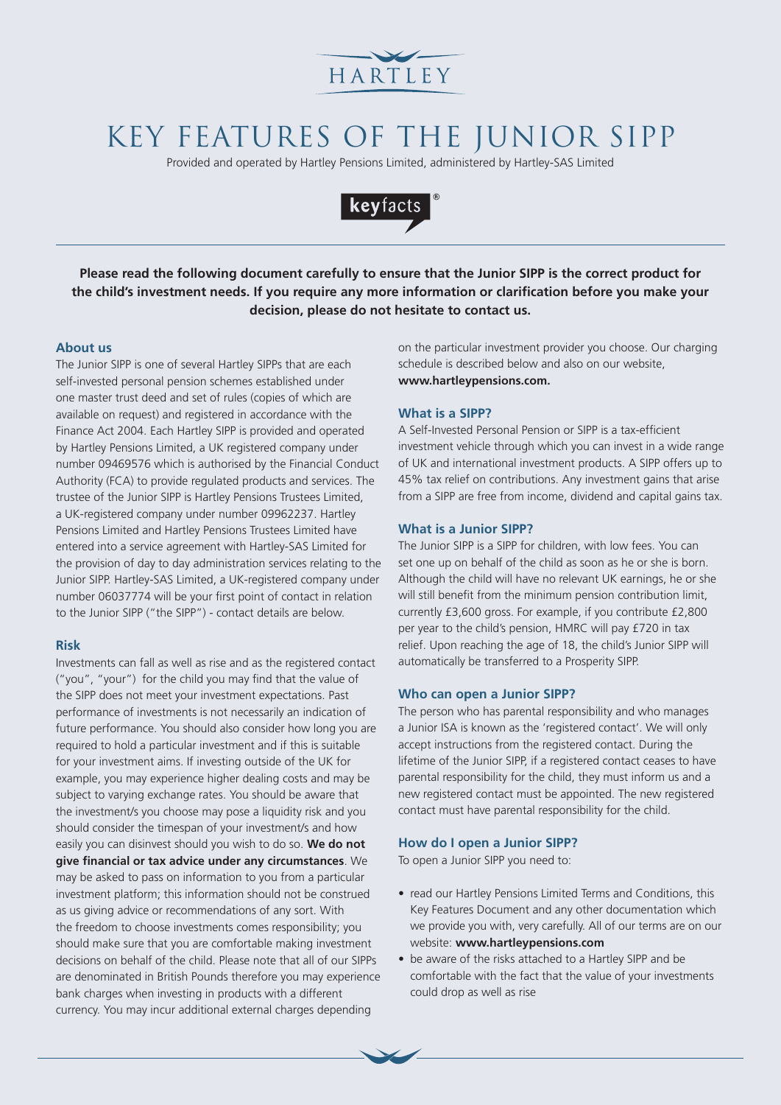

# KEY FEATURES OF THE JUNIOR SIPP

Provided and operated by Hartley Pensions Limited, administered by Hartley-SAS Limited



**Please read the following document carefully to ensure that the Junior SIPP is the correct product for the child's investment needs. If you require any more information or clarification before you make your decision, please do not hesitate to contact us.**

## **About us**

The Junior SIPP is one of several Hartley SIPPs that are each self-invested personal pension schemes established under one master trust deed and set of rules (copies of which are available on request) and registered in accordance with the Finance Act 2004. Each Hartley SIPP is provided and operated by Hartley Pensions Limited, a UK registered company under number 09469576 which is authorised by the Financial Conduct Authority (FCA) to provide regulated products and services. The trustee of the Junior SIPP is Hartley Pensions Trustees Limited, a UK-registered company under number 09962237. Hartley Pensions Limited and Hartley Pensions Trustees Limited have entered into a service agreement with Hartley-SAS Limited for the provision of day to day administration services relating to the Junior SIPP. Hartley-SAS Limited, a UK-registered company under number 06037774 will be your first point of contact in relation to the Junior SIPP ("the SIPP") - contact details are below.

## **Risk**

Investments can fall as well as rise and as the registered contact ("you", "your") for the child you may find that the value of the SIPP does not meet your investment expectations. Past performance of investments is not necessarily an indication of future performance. You should also consider how long you are required to hold a particular investment and if this is suitable for your investment aims. If investing outside of the UK for example, you may experience higher dealing costs and may be subject to varying exchange rates. You should be aware that the investment/s you choose may pose a liquidity risk and you should consider the timespan of your investment/s and how easily you can disinvest should you wish to do so. **We do not give financial or tax advice under any circumstances**. We may be asked to pass on information to you from a particular investment platform; this information should not be construed as us giving advice or recommendations of any sort. With the freedom to choose investments comes responsibility; you should make sure that you are comfortable making investment decisions on behalf of the child. Please note that all of our SIPPs are denominated in British Pounds therefore you may experience bank charges when investing in products with a different currency. You may incur additional external charges depending

on the particular investment provider you choose. Our charging schedule is described below and also on our website, **www.hartleypensions.com.** 

## **What is a SIPP?**

A Self-Invested Personal Pension or SIPP is a tax-efficient investment vehicle through which you can invest in a wide range of UK and international investment products. A SIPP offers up to 45% tax relief on contributions. Any investment gains that arise from a SIPP are free from income, dividend and capital gains tax.

### **What is a Junior SIPP?**

The Junior SIPP is a SIPP for children, with low fees. You can set one up on behalf of the child as soon as he or she is born. Although the child will have no relevant UK earnings, he or she will still benefit from the minimum pension contribution limit, currently £3,600 gross. For example, if you contribute £2,800 per year to the child's pension, HMRC will pay £720 in tax relief. Upon reaching the age of 18, the child's Junior SIPP will automatically be transferred to a Prosperity SIPP.

#### **Who can open a Junior SIPP?**

The person who has parental responsibility and who manages a Junior ISA is known as the 'registered contact'. We will only accept instructions from the registered contact. During the lifetime of the Junior SIPP, if a registered contact ceases to have parental responsibility for the child, they must inform us and a new registered contact must be appointed. The new registered contact must have parental responsibility for the child.

#### **How do I open a Junior SIPP?**

To open a Junior SIPP you need to:

- read our Hartley Pensions Limited Terms and Conditions, this Key Features Document and any other documentation which we provide you with, very carefully. All of our terms are on our website: **www.hartleypensions.com**
- be aware of the risks attached to a Hartley SIPP and be comfortable with the fact that the value of your investments could drop as well as rise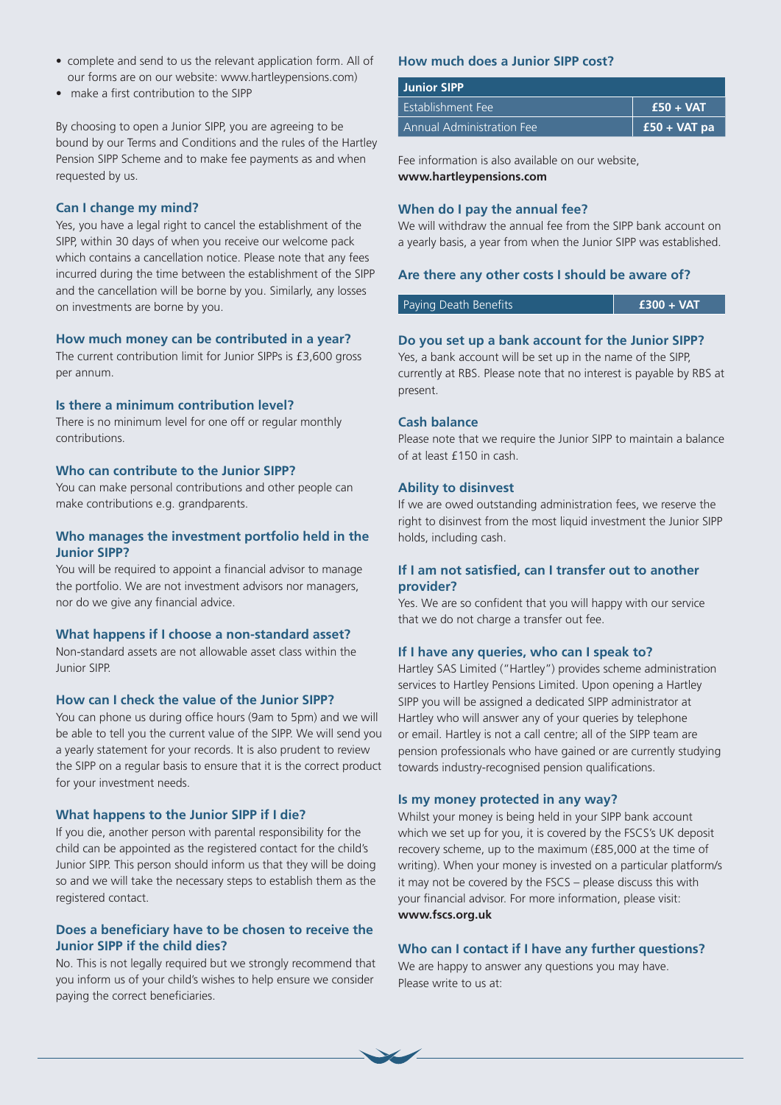- complete and send to us the relevant application form. All of our forms are on our website: www.hartleypensions.com)
- make a first contribution to the SIPP

By choosing to open a Junior SIPP, you are agreeing to be bound by our Terms and Conditions and the rules of the Hartley Pension SIPP Scheme and to make fee payments as and when requested by us.

## **Can I change my mind?**

Yes, you have a legal right to cancel the establishment of the SIPP, within 30 days of when you receive our welcome pack which contains a cancellation notice. Please note that any fees incurred during the time between the establishment of the SIPP and the cancellation will be borne by you. Similarly, any losses on investments are borne by you.

#### **How much money can be contributed in a year?**

The current contribution limit for Junior SIPPs is £3,600 gross per annum.

## **Is there a minimum contribution level?**

There is no minimum level for one off or regular monthly contributions.

## **Who can contribute to the Junior SIPP?**

You can make personal contributions and other people can make contributions e.g. grandparents.

# **Who manages the investment portfolio held in the Junior SIPP?**

You will be required to appoint a financial advisor to manage the portfolio. We are not investment advisors nor managers, nor do we give any financial advice.

#### **What happens if I choose a non-standard asset?**

Non-standard assets are not allowable asset class within the Junior SIPP.

## **How can I check the value of the Junior SIPP?**

You can phone us during office hours (9am to 5pm) and we will be able to tell you the current value of the SIPP. We will send you a yearly statement for your records. It is also prudent to review the SIPP on a regular basis to ensure that it is the correct product for your investment needs.

#### **What happens to the Junior SIPP if I die?**

If you die, another person with parental responsibility for the child can be appointed as the registered contact for the child's Junior SIPP. This person should inform us that they will be doing so and we will take the necessary steps to establish them as the registered contact.

# **Does a beneficiary have to be chosen to receive the Junior SIPP if the child dies?**

No. This is not legally required but we strongly recommend that you inform us of your child's wishes to help ensure we consider paying the correct beneficiaries.

## **How much does a Junior SIPP cost?**

| <b>Junior SIPP</b>        |                |
|---------------------------|----------------|
| Establishment Fee         | $f$ £50 + VAT  |
| Annual Administration Fee | $£50 + VAT$ pa |

Fee information is also available on our website, **www.hartleypensions.com** 

#### **When do I pay the annual fee?**

We will withdraw the annual fee from the SIPP bank account on a yearly basis, a year from when the Junior SIPP was established.

#### **Are there any other costs I should be aware of?**

Paying Death Benefits **£300 + VAT**

## **Do you set up a bank account for the Junior SIPP?**

Yes, a bank account will be set up in the name of the SIPP, currently at RBS. Please note that no interest is payable by RBS at present.

## **Cash balance**

Please note that we require the Junior SIPP to maintain a balance of at least £150 in cash.

#### **Ability to disinvest**

If we are owed outstanding administration fees, we reserve the right to disinvest from the most liquid investment the Junior SIPP holds, including cash.

# **If I am not satisfied, can I transfer out to another provider?**

Yes. We are so confident that you will happy with our service that we do not charge a transfer out fee.

## **If I have any queries, who can I speak to?**

Hartley SAS Limited ("Hartley") provides scheme administration services to Hartley Pensions Limited. Upon opening a Hartley SIPP you will be assigned a dedicated SIPP administrator at Hartley who will answer any of your queries by telephone or email. Hartley is not a call centre; all of the SIPP team are pension professionals who have gained or are currently studying towards industry-recognised pension qualifications.

## **Is my money protected in any way?**

Whilst your money is being held in your SIPP bank account which we set up for you, it is covered by the FSCS's UK deposit recovery scheme, up to the maximum (£85,000 at the time of writing). When your money is invested on a particular platform/s it may not be covered by the FSCS – please discuss this with your financial advisor. For more information, please visit: **www.fscs.org.uk** 

#### **Who can I contact if I have any further questions?**

We are happy to answer any questions you may have. Please write to us at: